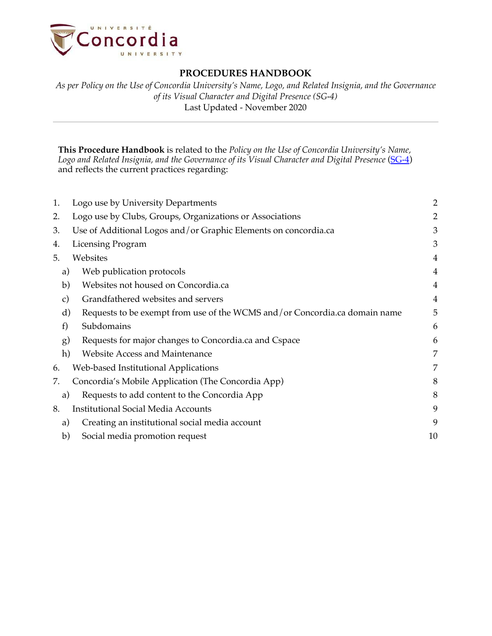

*As per Policy on the Use of Concordia University's Name, Logo, and Related Insignia, and the Governance of its Visual Character and Digital Presence (SG-4)* Last Updated - November 2020

**This Procedure Handbook** is related to the *Policy on the Use of Concordia University's Name,*  Logo and Related Insignia, and the Governance of its Visual Character and Digital Presence (SG-4) and reflects the current practices regarding:

| 1.            | Logo use by University Departments                                         | $\overline{2}$ |
|---------------|----------------------------------------------------------------------------|----------------|
| 2.            | Logo use by Clubs, Groups, Organizations or Associations                   | $\overline{2}$ |
| 3.            | Use of Additional Logos and/or Graphic Elements on concordia.ca            | 3              |
| 4.            | <b>Licensing Program</b>                                                   | 3              |
| 5.            | Websites                                                                   | $\overline{4}$ |
| a)            | Web publication protocols                                                  | $\overline{4}$ |
| b)            | Websites not housed on Concordia.ca                                        | $\overline{4}$ |
| $\mathbf{c})$ | Grandfathered websites and servers                                         | $\overline{4}$ |
| d)            | Requests to be exempt from use of the WCMS and/or Concordia.ca domain name | 5              |
| f)            | Subdomains                                                                 | 6              |
| g)            | Requests for major changes to Concordia.ca and Cspace                      | 6              |
| h)            | Website Access and Maintenance                                             | 7              |
| 6.            | Web-based Institutional Applications                                       | 7              |
| 7.            | Concordia's Mobile Application (The Concordia App)                         | 8              |
| a)            | Requests to add content to the Concordia App                               | 8              |
| 8.            | <b>Institutional Social Media Accounts</b>                                 | 9              |
| a)            | Creating an institutional social media account                             | 9              |
| b)            | Social media promotion request                                             | 10             |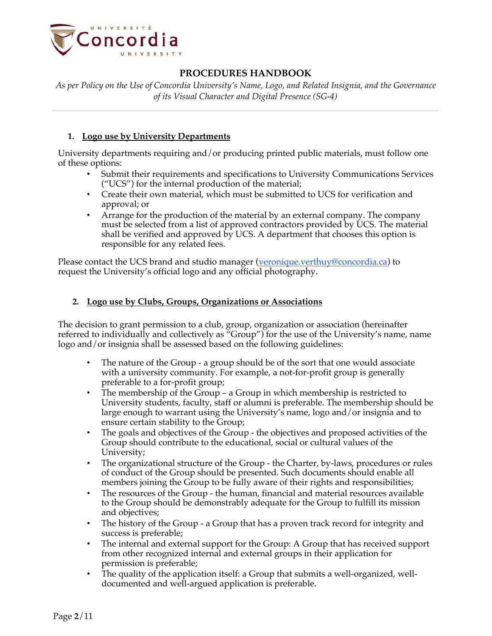

*As per Policy on the Use of Concordia University's Name, Logo, and Related Insignia, and the Governance of its Visual Character and Digital Presence (SG-4)*

#### **1. Logo use by University Departments**

University departments requiring and/or producing printed public materials, must follow one of these options:

- Submit their requirements and specifications to University Communications Services ("UCS") for the internal production of the material;
- Create their own material, which must be submitted to UCS for verification and approval; or
- Arrange for the production of the material by an external company. The company must be selected from a list of approved contractors provided by UCS. The material shall be verified and approved  $\hat{b}y$  UCS. A department that chooses this option is responsible for any related fees.

Please contact the UCS brand and studio manager (veronique.verthuy@concordia.ca) to request the University's official logo and any official photography.

#### **2. Logo use by Clubs, Groups, Organizations or Associations**

The decision to grant permission to a club, group, organization or association (hereinafter referred to individually and collectively as "Group") for the use of the University's name, name logo and/or insignia shall be assessed based on the following guidelines:

- The nature of the Group a group should be of the sort that one would associate with a university community. For example, a not-for-profit group is generally preferable to a for-profit group;
- The membership of the Group a Group in which membership is restricted to University students, faculty, staff or alumni is preferable. The membership should be large enough to warrant using the University's name, logo and/or insignia and to ensure certain stability to the Group;
- The goals and objectives of the Group the objectives and proposed activities of the Group should contribute to the educational, social or cultural values of the University;
- The organizational structure of the Group the Charter, by-laws, procedures or rules of conduct of the Group should be presented. Such documents should enable all members joining the Group to be fully aware of their rights and responsibilities;
- The resources of the Group the human, financial and material resources available to the Group should be demonstrably adequate for the Group to fulfill its mission and objectives;
- The history of the Group a Group that has a proven track record for integrity and success is preferable;
- The internal and external support for the Group: A Group that has received support from other recognized internal and external groups in their application for permission is preferable;
- The quality of the application itself: a Group that submits a well-organized, welldocumented and well-argued application is preferable.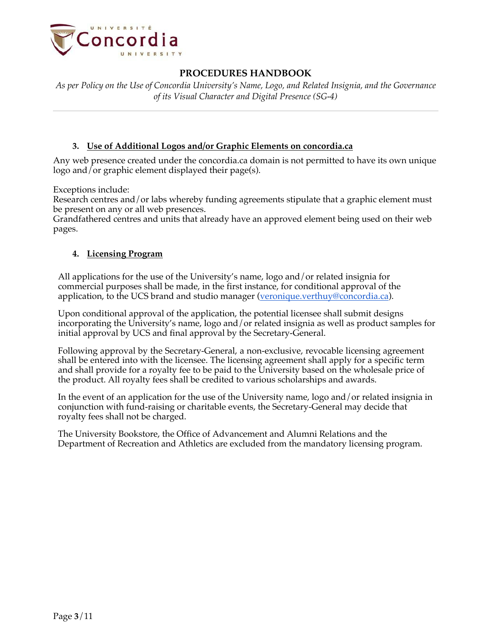

*As per Policy on the Use of Concordia University's Name, Logo, and Related Insignia, and the Governance of its Visual Character and Digital Presence (SG-4)*

### **3. Use of Additional Logos and/or Graphic Elements on concordia.ca**

Any web presence created under the concordia.ca domain is not permitted to have its own unique logo and/or graphic element displayed their page(s).

Exceptions include:

Research centres and/or labs whereby funding agreements stipulate that a graphic element must be present on any or all web presences.

Grandfathered centres and units that already have an approved element being used on their web pages.

### **4. Licensing Program**

All applications for the use of the University's name, logo and/or related insignia for commercial purposes shall be made, in the first instance, for conditional approval of the application, to the UCS brand and studio manager (veronique.verthuy@concordia.ca).

Upon conditional approval of the application, the potential licensee shall submit designs incorporating the University's name, logo and/or related insignia as well as product samples for initial approval by UCS and final approval by the Secretary-General.

Following approval by the Secretary-General, a non-exclusive, revocable licensing agreement shall be entered into with the licensee. The licensing agreement shall apply for a specific term and shall provide for a royalty fee to be paid to the University based on the wholesale price of the product. All royalty fees shall be credited to various scholarships and awards.

In the event of an application for the use of the University name, logo and/or related insignia in conjunction with fund-raising or charitable events, the Secretary-General may decide that royalty fees shall not be charged.

The University Bookstore, the Office of Advancement and Alumni Relations and the Department of Recreation and Athletics are excluded from the mandatory licensing program.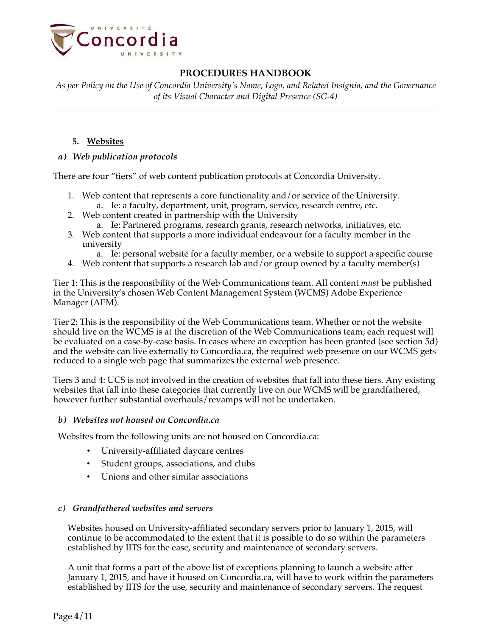

*As per Policy on the Use of Concordia University's Name, Logo, and Related Insignia, and the Governance of its Visual Character and Digital Presence (SG-4)*

### **5. Websites**

### *a) Web publication protocols*

There are four "tiers" of web content publication protocols at Concordia University.

- 1. Web content that represents a core functionality and/or service of the University.
	- a. Ie: a faculty, department, unit, program, service, research centre, etc.
- 2. Web content created in partnership with the University
	- a. Ie: Partnered programs, research grants, research networks, initiatives, etc.
- 3. Web content that supports a more individual endeavour for a faculty member in the university
	- a. Ie: personal website for a faculty member, or a website to support a specific course
- 4. Web content that supports a research lab and/or group owned by a faculty member(s)

Tier 1: This is the responsibility of the Web Communications team. All content *must* be published in the University's chosen Web Content Management System (WCMS) Adobe Experience Manager (AEM).

Tier 2: This is the responsibility of the Web Communications team. Whether or not the website should live on the WCMS is at the discretion of the Web Communications team; each request will be evaluated on a case-by-case basis. In cases where an exception has been granted (see section 5d) and the website can live externally to Concordia.ca, the required web presence on our WCMS gets reduced to a single web page that summarizes the external web presence.

Tiers 3 and 4: UCS is not involved in the creation of websites that fall into these tiers. Any existing websites that fall into these categories that currently live on our WCMS will be grandfathered, however further substantial overhauls/revamps will not be undertaken.

### *b) Websites not housed on Concordia.ca*

Websites from the following units are not housed on Concordia.ca:

- University-affiliated daycare centres
- Student groups, associations, and clubs
- Unions and other similar associations

### *c) Grandfathered websites and servers*

Websites housed on University-affiliated secondary servers prior to January 1, 2015, will continue to be accommodated to the extent that it is possible to do so within the parameters established by IITS for the ease, security and maintenance of secondary servers.

A unit that forms a part of the above list of exceptions planning to launch a website after January 1, 2015, and have it housed on Concordia.ca, will have to work within the parameters established by IITS for the use, security and maintenance of secondary servers. The request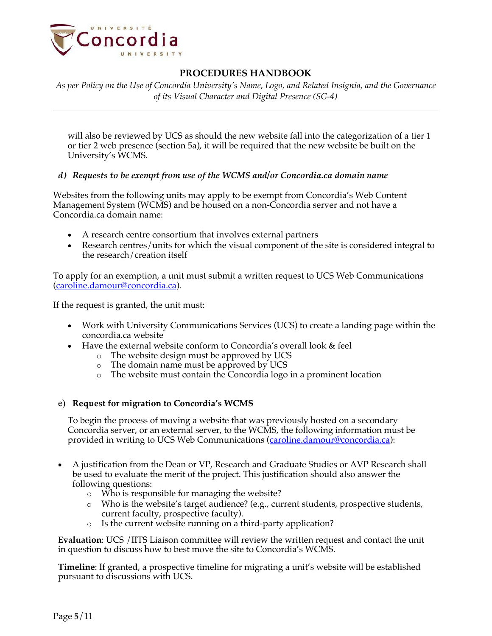

*As per Policy on the Use of Concordia University's Name, Logo, and Related Insignia, and the Governance of its Visual Character and Digital Presence (SG-4)*

will also be reviewed by UCS as should the new website fall into the categorization of a tier 1 or tier 2 web presence (section 5a), it will be required that the new website be built on the University's WCMS.

### *d) Requests to be exempt from use of the WCMS and/or Concordia.ca domain name*

Websites from the following units may apply to be exempt from Concordia's Web Content Management System (WCMS) and be housed on a non-Concordia server and not have a Concordia.ca domain name:

- A research centre consortium that involves external partners
- Research centres/units for which the visual component of the site is considered integral to the research/creation itself

To apply for an exemption, a unit must submit a written request to UCS Web Communications (caroline.damour@concordia.ca).

If the request is granted, the unit must:

- Work with University Communications Services (UCS) to create a landing page within the concordia.ca website
- Have the external website conform to Concordia's overall look & feel
	- o The website design must be approved by UCS
	- o The domain name must be approved by UCS
	- o The website must contain the Concordia logo in a prominent location

#### e) **Request for migration to Concordia's WCMS**

To begin the process of moving a website that was previously hosted on a secondary Concordia server, or an external server, to the WCMS, the following information must be provided in writing to UCS Web Communications (caroline.damour@concordia.ca):

- A justification from the Dean or VP, Research and Graduate Studies or AVP Research shall be used to evaluate the merit of the project. This justification should also answer the following questions:
	- o Who is responsible for managing the website?
	- $\circ$  Who is the website's target audience? (e.g., current students, prospective students, current faculty, prospective faculty).
	- o Is the current website running on a third-party application?

**Evaluation**: UCS /IITS Liaison committee will review the written request and contact the unit in question to discuss how to best move the site to Concordia's WCMS.

**Timeline**: If granted, a prospective timeline for migrating a unit's website will be established pursuant to discussions with UCS.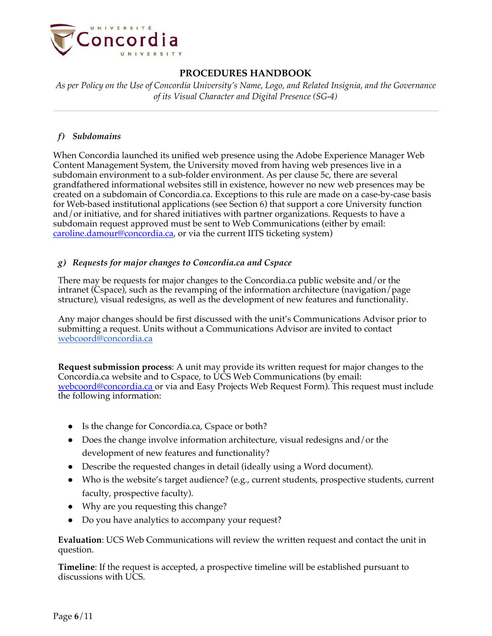

*As per Policy on the Use of Concordia University's Name, Logo, and Related Insignia, and the Governance of its Visual Character and Digital Presence (SG-4)*

### *f) Subdomains*

When Concordia launched its unified web presence using the Adobe Experience Manager Web Content Management System, the University moved from having web presences live in a subdomain environment to a sub-folder environment. As per clause 5c, there are several grandfathered informational websites still in existence, however no new web presences may be created on a subdomain of Concordia.ca. Exceptions to this rule are made on a case-by-case basis for Web-based institutional applications (see Section 6) that support a core University function and/or initiative, and for shared initiatives with partner organizations. Requests to have a subdomain request approved must be sent to Web Communications (either by email: caroline.damour@concordia.ca, or via the current IITS ticketing system)

### *g) Requests for major changes to Concordia.ca and Cspace*

There may be requests for major changes to the Concordia.ca public website and/or the intranet (Cspace), such as the revamping of the information architecture (navigation/page structure), visual redesigns, as well as the development of new features and functionality.

Any major changes should be first discussed with the unit's Communications Advisor prior to submitting a request. Units without a Communications Advisor are invited to contact webcoord@concordia.ca

**Request submission process**: A unit may provide its written request for major changes to the Concordia.ca website and to Cspace, to UCS Web Communications (by email: webcoord@concordia.ca or via and Easy Projects Web Request Form). This request must include the following information:

- Is the change for Concordia.ca, Cspace or both?
- Does the change involve information architecture, visual redesigns and/or the development of new features and functionality?
- Describe the requested changes in detail (ideally using a Word document).
- Who is the website's target audience? (e.g., current students, prospective students, current faculty, prospective faculty).
- Why are you requesting this change?
- Do you have analytics to accompany your request?

**Evaluation**: UCS Web Communications will review the written request and contact the unit in question.

**Timeline**: If the request is accepted, a prospective timeline will be established pursuant to discussions with UCS.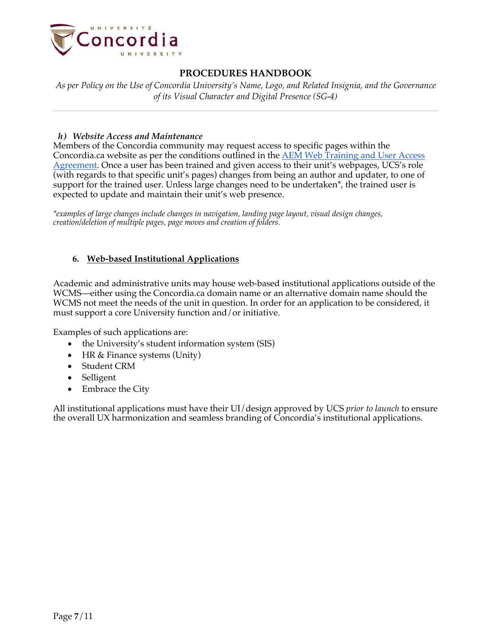

*As per Policy on the Use of Concordia University's Name, Logo, and Related Insignia, and the Governance of its Visual Character and Digital Presence (SG-4)*

#### *h) Website Access and Maintenance*

Members of the Concordia community may request access to specific pages within the Concordia.ca website as per the conditions outlined in the AEM Web Training and User Access Agreement. Once a user has been trained and given access to their unit's webpages, UCS's role (with regards to that specific unit's pages) changes from being an author and updater, to one of support for the trained user. Unless large changes need to be undertaken\*, the trained user is expected to update and maintain their unit's web presence.

*\*examples of large changes include changes in navigation, landing page layout, visual design changes, creation/deletion of multiple pages, page moves and creation of folders.*

#### **6. Web-based Institutional Applications**

Academic and administrative units may house web-based institutional applications outside of the WCMS—either using the Concordia.ca domain name or an alternative domain name should the WCMS not meet the needs of the unit in question. In order for an application to be considered, it must support a core University function and/or initiative.

Examples of such applications are:

- the University's student information system (SIS)
- HR & Finance systems (Unity)
- Student CRM
- Selligent
- Embrace the City

All institutional applications must have their UI/design approved by UCS *prior to launch* to ensure the overall UX harmonization and seamless branding of Concordia's institutional applications.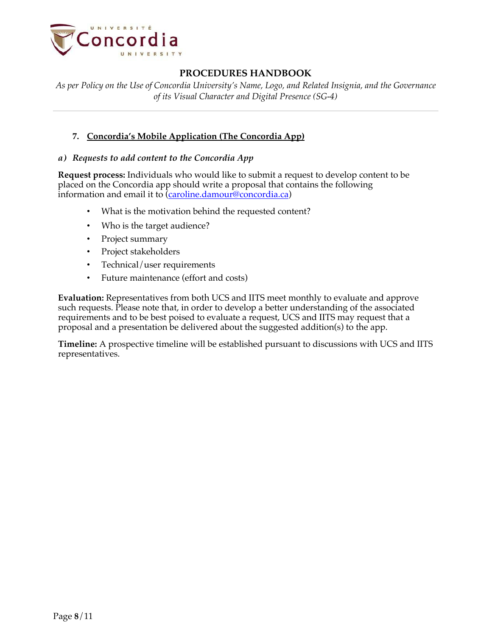

*As per Policy on the Use of Concordia University's Name, Logo, and Related Insignia, and the Governance of its Visual Character and Digital Presence (SG-4)*

### **7. Concordia's Mobile Application (The Concordia App)**

#### *a) Requests to add content to the Concordia App*

**Request process:** Individuals who would like to submit a request to develop content to be placed on the Concordia app should write a proposal that contains the following information and email it to (caroline.damour@concordia.ca)

- What is the motivation behind the requested content?
- Who is the target audience?
- Project summary
- Project stakeholders
- Technical/user requirements
- Future maintenance (effort and costs)

**Evaluation:** Representatives from both UCS and IITS meet monthly to evaluate and approve such requests. Please note that, in order to develop a better understanding of the associated requirements and to be best poised to evaluate a request, UCS and IITS may request that a proposal and a presentation be delivered about the suggested addition(s) to the app.

**Timeline:** A prospective timeline will be established pursuant to discussions with UCS and IITS representatives.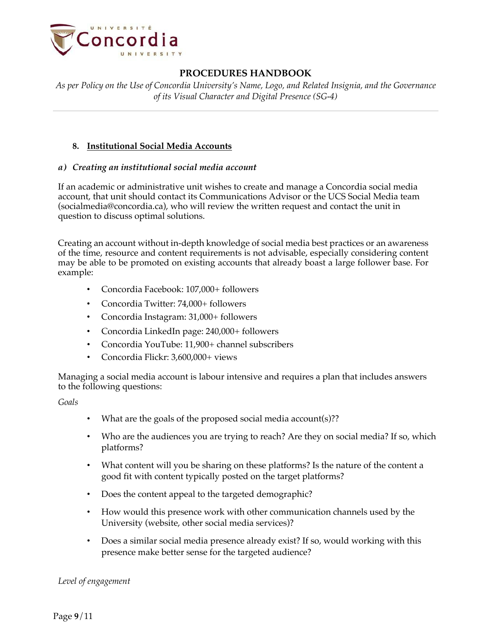

*As per Policy on the Use of Concordia University's Name, Logo, and Related Insignia, and the Governance of its Visual Character and Digital Presence (SG-4)*

### **8. Institutional Social Media Accounts**

#### *a) Creating an institutional social media account*

If an academic or administrative unit wishes to create and manage a Concordia social media account, that unit should contact its Communications Advisor or the UCS Social Media team (socialmedia@concordia.ca), who will review the written request and contact the unit in question to discuss optimal solutions.

Creating an account without in-depth knowledge of social media best practices or an awareness of the time, resource and content requirements is not advisable, especially considering content may be able to be promoted on existing accounts that already boast a large follower base. For example:

- Concordia Facebook: 107,000+ followers
- Concordia Twitter: 74,000+ followers
- Concordia Instagram: 31,000+ followers
- Concordia LinkedIn page: 240,000+ followers
- Concordia YouTube: 11,900+ channel subscribers
- Concordia Flickr: 3,600,000+ views

Managing a social media account is labour intensive and requires a plan that includes answers to the following questions:

*Goals*

- What are the goals of the proposed social media account(s)??
- Who are the audiences you are trying to reach? Are they on social media? If so, which platforms?
- What content will you be sharing on these platforms? Is the nature of the content a good fit with content typically posted on the target platforms?
- Does the content appeal to the targeted demographic?
- How would this presence work with other communication channels used by the University (website, other social media services)?
- Does a similar social media presence already exist? If so, would working with this presence make better sense for the targeted audience?

*Level of engagement*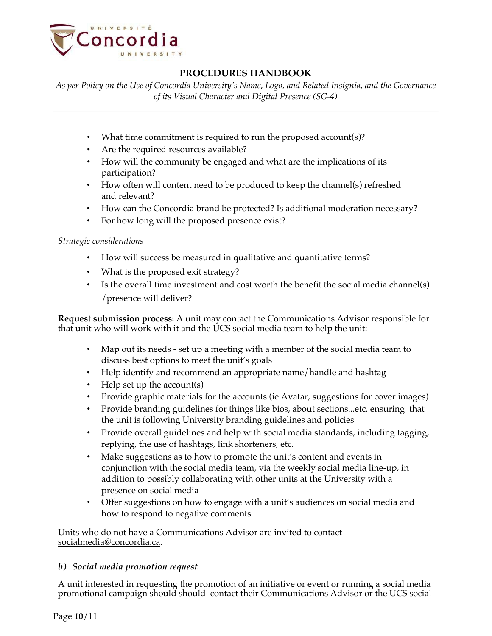

*As per Policy on the Use of Concordia University's Name, Logo, and Related Insignia, and the Governance of its Visual Character and Digital Presence (SG-4)*

- What time commitment is required to run the proposed account(s)?
- Are the required resources available?
- How will the community be engaged and what are the implications of its participation?
- How often will content need to be produced to keep the channel(s) refreshed and relevant?
- How can the Concordia brand be protected? Is additional moderation necessary?
- For how long will the proposed presence exist?

### *Strategic considerations*

- How will success be measured in qualitative and quantitative terms?
- What is the proposed exit strategy?
- Is the overall time investment and cost worth the benefit the social media channel(s) /presence will deliver?

**Request submission process:** A unit may contact the Communications Advisor responsible for that unit who will work with it and the UCS social media team to help the unit:

- Map out its needs set up a meeting with a member of the social media team to discuss best options to meet the unit's goals
- Help identify and recommend an appropriate name/handle and hashtag
- Help set up the account(s)
- Provide graphic materials for the accounts (ie Avatar, suggestions for cover images)
- Provide branding guidelines for things like bios, about sections...etc. ensuring that the unit is following University branding guidelines and policies
- Provide overall guidelines and help with social media standards, including tagging, replying, the use of hashtags, link shorteners, etc.
- Make suggestions as to how to promote the unit's content and events in conjunction with the social media team, via the weekly social media line-up, in addition to possibly collaborating with other units at the University with a presence on social media
- Offer suggestions on how to engage with a unit's audiences on social media and how to respond to negative comments

Units who do not have a Communications Advisor are invited to contact socialmedia@concordia.ca.

### *b) Social media promotion request*

A unit interested in requesting the promotion of an initiative or event or running a social media promotional campaign should should contact their Communications Advisor or the UCS social